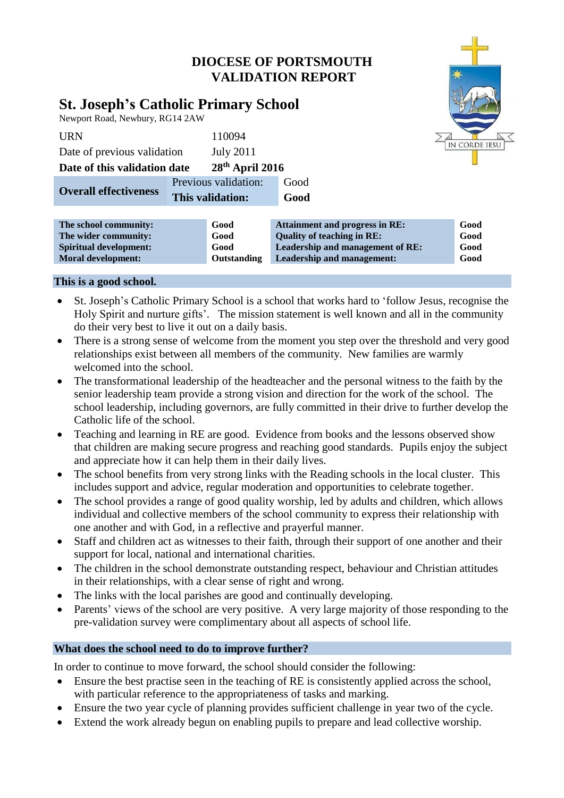

| The school community:         | Good               | <b>Attainment and progress in RE:</b> | Good |
|-------------------------------|--------------------|---------------------------------------|------|
| The wider community:          | Good               | <b>Quality of teaching in RE:</b>     | Good |
| <b>Spiritual development:</b> | Good               | Leadership and management of RE:      | Good |
| <b>Moral development:</b>     | <b>Outstanding</b> | <b>Leadership and management:</b>     | Good |
|                               |                    |                                       |      |

### **This is a good school.**

- St. Joseph's Catholic Primary School is a school that works hard to 'follow Jesus, recognise the Holy Spirit and nurture gifts'. The mission statement is well known and all in the community do their very best to live it out on a daily basis.
- There is a strong sense of welcome from the moment you step over the threshold and very good relationships exist between all members of the community. New families are warmly welcomed into the school.
- The transformational leadership of the headteacher and the personal witness to the faith by the senior leadership team provide a strong vision and direction for the work of the school. The school leadership, including governors, are fully committed in their drive to further develop the Catholic life of the school.
- Teaching and learning in RE are good. Evidence from books and the lessons observed show that children are making secure progress and reaching good standards. Pupils enjoy the subject and appreciate how it can help them in their daily lives.
- The school benefits from very strong links with the Reading schools in the local cluster. This includes support and advice, regular moderation and opportunities to celebrate together.
- The school provides a range of good quality worship, led by adults and children, which allows individual and collective members of the school community to express their relationship with one another and with God, in a reflective and prayerful manner.
- Staff and children act as witnesses to their faith, through their support of one another and their support for local, national and international charities.
- The children in the school demonstrate outstanding respect, behaviour and Christian attitudes in their relationships, with a clear sense of right and wrong.
- The links with the local parishes are good and continually developing.
- Parents' views of the school are very positive. A very large majority of those responding to the pre-validation survey were complimentary about all aspects of school life.

# **What does the school need to do to improve further?**

In order to continue to move forward, the school should consider the following:

- Ensure the best practise seen in the teaching of RE is consistently applied across the school, with particular reference to the appropriateness of tasks and marking.
- Ensure the two year cycle of planning provides sufficient challenge in year two of the cycle.
- Extend the work already begun on enabling pupils to prepare and lead collective worship.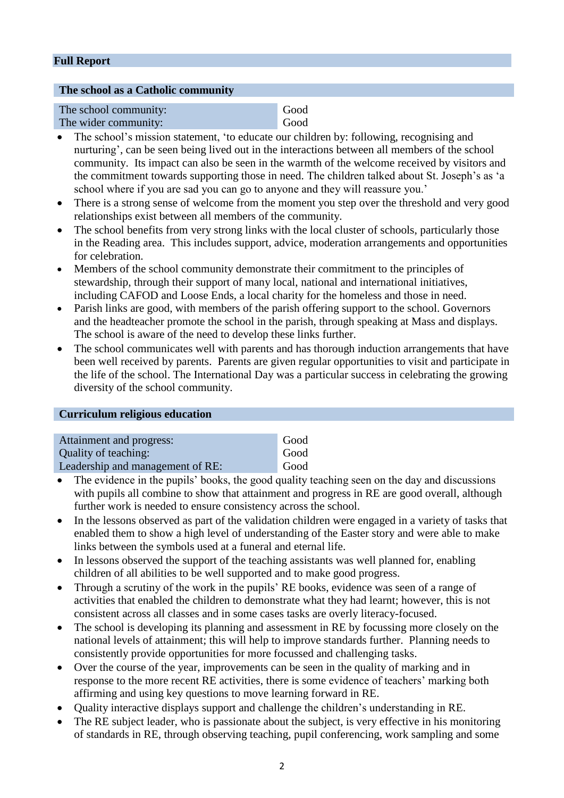# **Full Report**

### **The school as a Catholic community**

| The school community: | Good |
|-----------------------|------|
| The wider community:  | Good |

- The school's mission statement, 'to educate our children by: following, recognising and nurturing', can be seen being lived out in the interactions between all members of the school community. Its impact can also be seen in the warmth of the welcome received by visitors and the commitment towards supporting those in need. The children talked about St. Joseph's as 'a school where if you are sad you can go to anyone and they will reassure you.'
- There is a strong sense of welcome from the moment you step over the threshold and very good relationships exist between all members of the community.
- The school benefits from very strong links with the local cluster of schools, particularly those in the Reading area. This includes support, advice, moderation arrangements and opportunities for celebration.
- Members of the school community demonstrate their commitment to the principles of stewardship, through their support of many local, national and international initiatives, including CAFOD and Loose Ends, a local charity for the homeless and those in need.
- Parish links are good, with members of the parish offering support to the school. Governors and the headteacher promote the school in the parish, through speaking at Mass and displays. The school is aware of the need to develop these links further.
- The school communicates well with parents and has thorough induction arrangements that have been well received by parents. Parents are given regular opportunities to visit and participate in the life of the school. The International Day was a particular success in celebrating the growing diversity of the school community.

### **Curriculum religious education**

| Attainment and progress:         | Good |
|----------------------------------|------|
| Quality of teaching:             | Good |
| Leadership and management of RE: | Good |

- The evidence in the pupils' books, the good quality teaching seen on the day and discussions with pupils all combine to show that attainment and progress in RE are good overall, although further work is needed to ensure consistency across the school.
- In the lessons observed as part of the validation children were engaged in a variety of tasks that enabled them to show a high level of understanding of the Easter story and were able to make links between the symbols used at a funeral and eternal life.
- In lessons observed the support of the teaching assistants was well planned for, enabling children of all abilities to be well supported and to make good progress.
- Through a scrutiny of the work in the pupils' RE books, evidence was seen of a range of activities that enabled the children to demonstrate what they had learnt; however, this is not consistent across all classes and in some cases tasks are overly literacy-focused.
- The school is developing its planning and assessment in RE by focussing more closely on the national levels of attainment; this will help to improve standards further. Planning needs to consistently provide opportunities for more focussed and challenging tasks.
- Over the course of the year, improvements can be seen in the quality of marking and in response to the more recent RE activities, there is some evidence of teachers' marking both affirming and using key questions to move learning forward in RE.
- Quality interactive displays support and challenge the children's understanding in RE.
- The RE subject leader, who is passionate about the subject, is very effective in his monitoring of standards in RE, through observing teaching, pupil conferencing, work sampling and some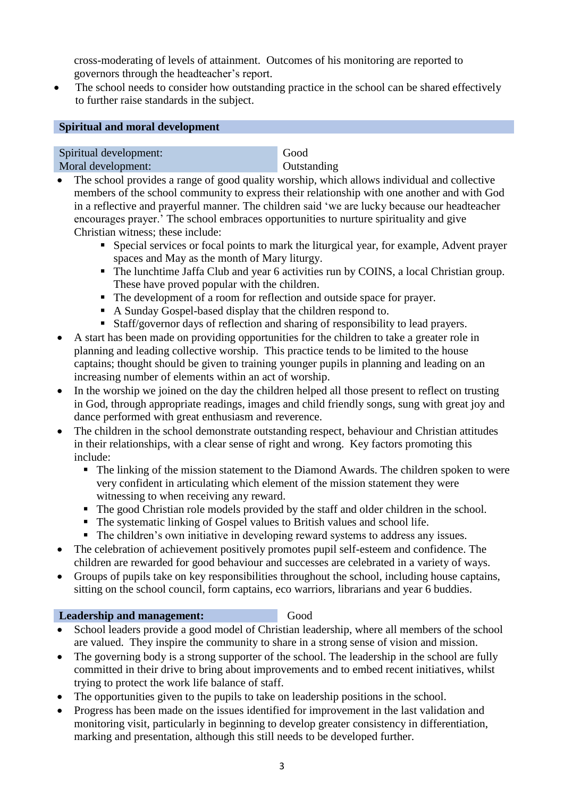cross-moderating of levels of attainment. Outcomes of his monitoring are reported to governors through the headteacher's report.

 The school needs to consider how outstanding practice in the school can be shared effectively to further raise standards in the subject.

## **Spiritual and moral development**

Spiritual development: Good Moral development: **Outstanding** 

- The school provides a range of good quality worship, which allows individual and collective members of the school community to express their relationship with one another and with God in a reflective and prayerful manner. The children said 'we are lucky because our headteacher encourages prayer.' The school embraces opportunities to nurture spirituality and give Christian witness; these include:
	- Special services or focal points to mark the liturgical year, for example, Advent prayer spaces and May as the month of Mary liturgy.
	- The lunchtime Jaffa Club and year 6 activities run by COINS, a local Christian group. These have proved popular with the children.
	- The development of a room for reflection and outside space for prayer.
	- A Sunday Gospel-based display that the children respond to.
	- Staff/governor days of reflection and sharing of responsibility to lead prayers.
- A start has been made on providing opportunities for the children to take a greater role in planning and leading collective worship. This practice tends to be limited to the house captains; thought should be given to training younger pupils in planning and leading on an increasing number of elements within an act of worship.
- In the worship we joined on the day the children helped all those present to reflect on trusting in God, through appropriate readings, images and child friendly songs, sung with great joy and dance performed with great enthusiasm and reverence.
- The children in the school demonstrate outstanding respect, behaviour and Christian attitudes in their relationships, with a clear sense of right and wrong. Key factors promoting this include:
	- The linking of the mission statement to the Diamond Awards. The children spoken to were very confident in articulating which element of the mission statement they were witnessing to when receiving any reward.
	- The good Christian role models provided by the staff and older children in the school.
	- The systematic linking of Gospel values to British values and school life.
	- The children's own initiative in developing reward systems to address any issues.
- The celebration of achievement positively promotes pupil self-esteem and confidence. The children are rewarded for good behaviour and successes are celebrated in a variety of ways.
- Groups of pupils take on key responsibilities throughout the school, including house captains, sitting on the school council, form captains, eco warriors, librarians and year 6 buddies.

### **Leadership and management:** Good

- School leaders provide a good model of Christian leadership, where all members of the school are valued. They inspire the community to share in a strong sense of vision and mission.
- The governing body is a strong supporter of the school. The leadership in the school are fully committed in their drive to bring about improvements and to embed recent initiatives, whilst trying to protect the work life balance of staff.
- The opportunities given to the pupils to take on leadership positions in the school.
- Progress has been made on the issues identified for improvement in the last validation and monitoring visit, particularly in beginning to develop greater consistency in differentiation, marking and presentation, although this still needs to be developed further.